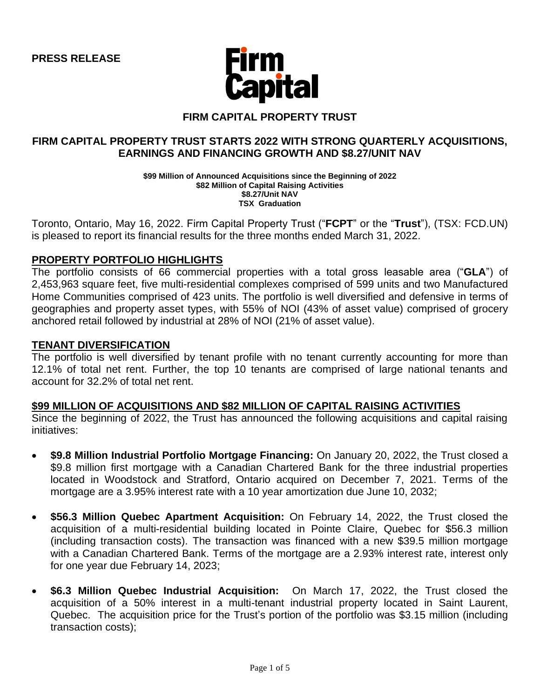

## **FIRM CAPITAL PROPERTY TRUST**

### **FIRM CAPITAL PROPERTY TRUST STARTS 2022 WITH STRONG QUARTERLY ACQUISITIONS, EARNINGS AND FINANCING GROWTH AND \$8.27/UNIT NAV**

**\$99 Million of Announced Acquisitions since the Beginning of 2022 \$82 Million of Capital Raising Activities \$8.27/Unit NAV TSX Graduation**

Toronto, Ontario, May 16, 2022. Firm Capital Property Trust ("**FCPT**" or the "**Trust**"), (TSX: FCD.UN) is pleased to report its financial results for the three months ended March 31, 2022.

#### **PROPERTY PORTFOLIO HIGHLIGHTS**

The portfolio consists of 66 commercial properties with a total gross leasable area ("**GLA**") of 2,453,963 square feet, five multi-residential complexes comprised of 599 units and two Manufactured Home Communities comprised of 423 units. The portfolio is well diversified and defensive in terms of geographies and property asset types, with 55% of NOI (43% of asset value) comprised of grocery anchored retail followed by industrial at 28% of NOI (21% of asset value).

#### **TENANT DIVERSIFICATION**

The portfolio is well diversified by tenant profile with no tenant currently accounting for more than 12.1% of total net rent. Further, the top 10 tenants are comprised of large national tenants and account for 32.2% of total net rent.

#### **\$99 MILLION OF ACQUISITIONS AND \$82 MILLION OF CAPITAL RAISING ACTIVITIES**

Since the beginning of 2022, the Trust has announced the following acquisitions and capital raising initiatives:

- **\$9.8 Million Industrial Portfolio Mortgage Financing:** On January 20, 2022, the Trust closed a \$9.8 million first mortgage with a Canadian Chartered Bank for the three industrial properties located in Woodstock and Stratford, Ontario acquired on December 7, 2021. Terms of the mortgage are a 3.95% interest rate with a 10 year amortization due June 10, 2032;
- **\$56.3 Million Quebec Apartment Acquisition:** On February 14, 2022, the Trust closed the acquisition of a multi-residential building located in Pointe Claire, Quebec for \$56.3 million (including transaction costs). The transaction was financed with a new \$39.5 million mortgage with a Canadian Chartered Bank. Terms of the mortgage are a 2.93% interest rate, interest only for one year due February 14, 2023;
- **\$6.3 Million Quebec Industrial Acquisition:** On March 17, 2022, the Trust closed the acquisition of a 50% interest in a multi-tenant industrial property located in Saint Laurent, Quebec. The acquisition price for the Trust's portion of the portfolio was \$3.15 million (including transaction costs);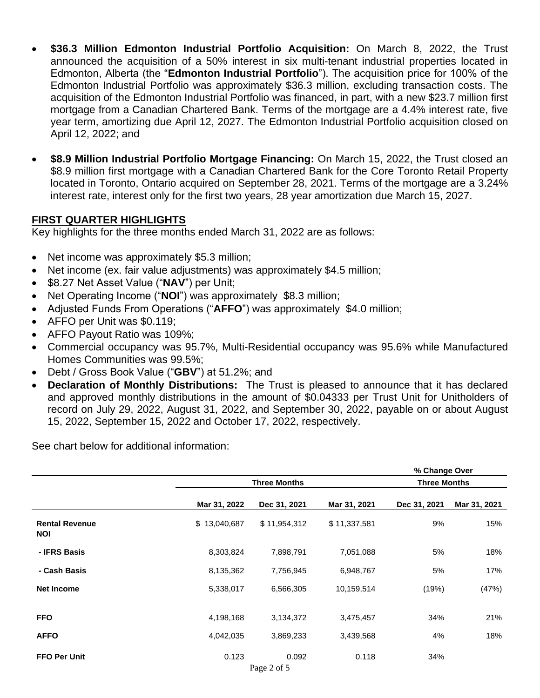- **\$36.3 Million Edmonton Industrial Portfolio Acquisition:** On March 8, 2022, the Trust announced the acquisition of a 50% interest in six multi-tenant industrial properties located in Edmonton, Alberta (the "**Edmonton Industrial Portfolio**"). The acquisition price for 100% of the Edmonton Industrial Portfolio was approximately \$36.3 million, excluding transaction costs. The acquisition of the Edmonton Industrial Portfolio was financed, in part, with a new \$23.7 million first mortgage from a Canadian Chartered Bank. Terms of the mortgage are a 4.4% interest rate, five year term, amortizing due April 12, 2027. The Edmonton Industrial Portfolio acquisition closed on April 12, 2022; and
- **\$8.9 Million Industrial Portfolio Mortgage Financing:** On March 15, 2022, the Trust closed an \$8.9 million first mortgage with a Canadian Chartered Bank for the Core Toronto Retail Property located in Toronto, Ontario acquired on September 28, 2021. Terms of the mortgage are a 3.24% interest rate, interest only for the first two years, 28 year amortization due March 15, 2027.

## **FIRST QUARTER HIGHLIGHTS**

Key highlights for the three months ended March 31, 2022 are as follows:

- Net income was approximately \$5.3 million;
- Net income (ex. fair value adjustments) was approximately \$4.5 million;
- \$8.27 Net Asset Value ("**NAV**") per Unit;
- Net Operating Income ("**NOI**") was approximately \$8.3 million;
- Adjusted Funds From Operations ("**AFFO**") was approximately \$4.0 million;
- AFFO per Unit was \$0.119;
- AFFO Payout Ratio was 109%;
- Commercial occupancy was 95.7%, Multi-Residential occupancy was 95.6% while Manufactured Homes Communities was 99.5%;
- Debt / Gross Book Value ("**GBV**") at 51.2%; and
- **Declaration of Monthly Distributions:** The Trust is pleased to announce that it has declared and approved monthly distributions in the amount of \$0.04333 per Trust Unit for Unitholders of record on July 29, 2022, August 31, 2022, and September 30, 2022, payable on or about August 15, 2022, September 15, 2022 and October 17, 2022, respectively.

See chart below for additional information:

|                                     |                     |                      |              | % Change Over       |              |  |
|-------------------------------------|---------------------|----------------------|--------------|---------------------|--------------|--|
|                                     | <b>Three Months</b> |                      |              | <b>Three Months</b> |              |  |
|                                     | Mar 31, 2022        | Dec 31, 2021         | Mar 31, 2021 | Dec 31, 2021        | Mar 31, 2021 |  |
| <b>Rental Revenue</b><br><b>NOI</b> | \$13,040,687        | \$11,954,312         | \$11,337,581 | 9%                  | 15%          |  |
| - IFRS Basis                        | 8,303,824           | 7,898,791            | 7,051,088    | 5%                  | 18%          |  |
| - Cash Basis                        | 8,135,362           | 7,756,945            | 6,948,767    | 5%                  | 17%          |  |
| <b>Net Income</b>                   | 5,338,017           | 6,566,305            | 10,159,514   | (19%)               | (47%)        |  |
| <b>FFO</b>                          | 4,198,168           | 3,134,372            | 3,475,457    | 34%                 | 21%          |  |
| <b>AFFO</b>                         | 4,042,035           | 3,869,233            | 3,439,568    | 4%                  | 18%          |  |
| <b>FFO Per Unit</b>                 | 0.123               | 0.092<br>Page 2 of 5 | 0.118        | 34%                 |              |  |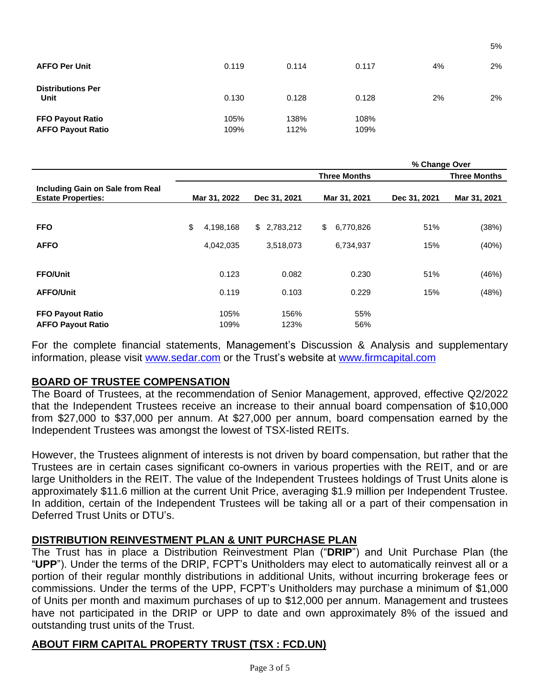| <b>AFFO Per Unit</b>                                | 0.119        | 0.114        | 0.117        | 4% | $2\%$ |
|-----------------------------------------------------|--------------|--------------|--------------|----|-------|
| <b>Distributions Per</b><br>Unit                    | 0.130        | 0.128        | 0.128        | 2% | $2\%$ |
| <b>FFO Payout Ratio</b><br><b>AFFO Payout Ratio</b> | 105%<br>109% | 138%<br>112% | 108%<br>109% |    |       |

5%

|                                                               |                 |              | % Change Over       |              |                     |
|---------------------------------------------------------------|-----------------|--------------|---------------------|--------------|---------------------|
|                                                               |                 |              | <b>Three Months</b> |              | <b>Three Months</b> |
| Including Gain on Sale from Real<br><b>Estate Properties:</b> | Mar 31, 2022    | Dec 31, 2021 | Mar 31, 2021        | Dec 31, 2021 | Mar 31, 2021        |
|                                                               |                 |              |                     |              |                     |
| <b>FFO</b>                                                    | \$<br>4,198,168 | \$2,783,212  | \$<br>6,770,826     | 51%          | (38%)               |
| <b>AFFO</b>                                                   | 4,042,035       | 3,518,073    | 6,734,937           | 15%          | (40%)               |
|                                                               |                 |              |                     |              |                     |
| <b>FFO/Unit</b>                                               | 0.123           | 0.082        | 0.230               | 51%          | (46%)               |
| <b>AFFO/Unit</b>                                              | 0.119           | 0.103        | 0.229               | 15%          | (48%)               |
| <b>FFO Payout Ratio</b>                                       | 105%            | 156%         | 55%                 |              |                     |
| <b>AFFO Payout Ratio</b>                                      | 109%            | 123%         | 56%                 |              |                     |

For the complete financial statements, Management's Discussion & Analysis and supplementary information, please visit [www.sedar.com](http://www.sedar.com/) or the Trust's website at [www.firmcapital.com](http://www.firmcapital.com/)

# **BOARD OF TRUSTEE COMPENSATION**

The Board of Trustees, at the recommendation of Senior Management, approved, effective Q2/2022 that the Independent Trustees receive an increase to their annual board compensation of \$10,000 from \$27,000 to \$37,000 per annum. At \$27,000 per annum, board compensation earned by the Independent Trustees was amongst the lowest of TSX-listed REITs.

However, the Trustees alignment of interests is not driven by board compensation, but rather that the Trustees are in certain cases significant co-owners in various properties with the REIT, and or are large Unitholders in the REIT. The value of the Independent Trustees holdings of Trust Units alone is approximately \$11.6 million at the current Unit Price, averaging \$1.9 million per Independent Trustee. In addition, certain of the Independent Trustees will be taking all or a part of their compensation in Deferred Trust Units or DTU's.

# **DISTRIBUTION REINVESTMENT PLAN & UNIT PURCHASE PLAN**

The Trust has in place a Distribution Reinvestment Plan ("**DRIP**") and Unit Purchase Plan (the "**UPP**"). Under the terms of the DRIP, FCPT's Unitholders may elect to automatically reinvest all or a portion of their regular monthly distributions in additional Units, without incurring brokerage fees or commissions. Under the terms of the UPP, FCPT's Unitholders may purchase a minimum of \$1,000 of Units per month and maximum purchases of up to \$12,000 per annum. Management and trustees have not participated in the DRIP or UPP to date and own approximately 8% of the issued and outstanding trust units of the Trust.

# **ABOUT FIRM CAPITAL PROPERTY TRUST (TSX : FCD.UN)**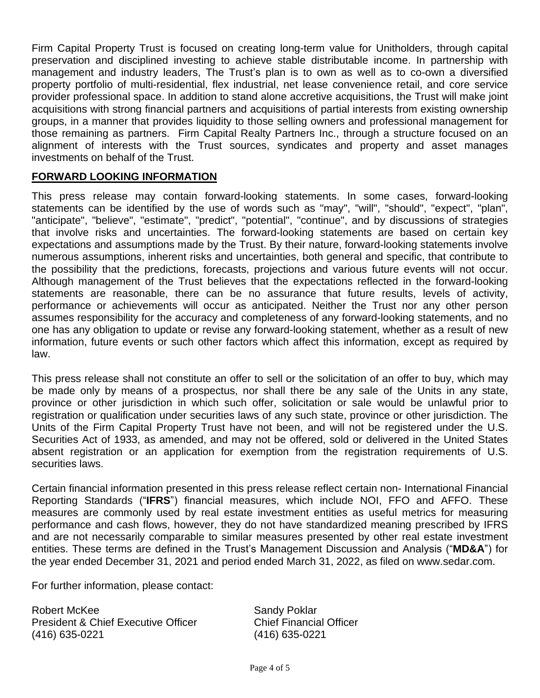Firm Capital Property Trust is focused on creating long-term value for Unitholders, through capital preservation and disciplined investing to achieve stable distributable income. In partnership with management and industry leaders, The Trust's plan is to own as well as to co-own a diversified property portfolio of multi-residential, flex industrial, net lease convenience retail, and core service provider professional space. In addition to stand alone accretive acquisitions, the Trust will make joint acquisitions with strong financial partners and acquisitions of partial interests from existing ownership groups, in a manner that provides liquidity to those selling owners and professional management for those remaining as partners. Firm Capital Realty Partners Inc., through a structure focused on an alignment of interests with the Trust sources, syndicates and property and asset manages investments on behalf of the Trust.

### **FORWARD LOOKING INFORMATION**

This press release may contain forward-looking statements. In some cases, forward-looking statements can be identified by the use of words such as "may", "will", "should", "expect", "plan", "anticipate", "believe", "estimate", "predict", "potential", "continue", and by discussions of strategies that involve risks and uncertainties. The forward-looking statements are based on certain key expectations and assumptions made by the Trust. By their nature, forward-looking statements involve numerous assumptions, inherent risks and uncertainties, both general and specific, that contribute to the possibility that the predictions, forecasts, projections and various future events will not occur. Although management of the Trust believes that the expectations reflected in the forward-looking statements are reasonable, there can be no assurance that future results, levels of activity, performance or achievements will occur as anticipated. Neither the Trust nor any other person assumes responsibility for the accuracy and completeness of any forward-looking statements, and no one has any obligation to update or revise any forward-looking statement, whether as a result of new information, future events or such other factors which affect this information, except as required by law.

This press release shall not constitute an offer to sell or the solicitation of an offer to buy, which may be made only by means of a prospectus, nor shall there be any sale of the Units in any state, province or other jurisdiction in which such offer, solicitation or sale would be unlawful prior to registration or qualification under securities laws of any such state, province or other jurisdiction. The Units of the Firm Capital Property Trust have not been, and will not be registered under the U.S. Securities Act of 1933, as amended, and may not be offered, sold or delivered in the United States absent registration or an application for exemption from the registration requirements of U.S. securities laws.

Certain financial information presented in this press release reflect certain non- International Financial Reporting Standards ("**IFRS**") financial measures, which include NOI, FFO and AFFO. These measures are commonly used by real estate investment entities as useful metrics for measuring performance and cash flows, however, they do not have standardized meaning prescribed by IFRS and are not necessarily comparable to similar measures presented by other real estate investment entities. These terms are defined in the Trust's Management Discussion and Analysis ("**MD&A**") for the year ended December 31, 2021 and period ended March 31, 2022, as filed on www.sedar.com.

For further information, please contact:

Robert McKee Sandy Poklar President & Chief Executive Officer Chief Financial Officer (416) 635-0221 (416) 635-0221